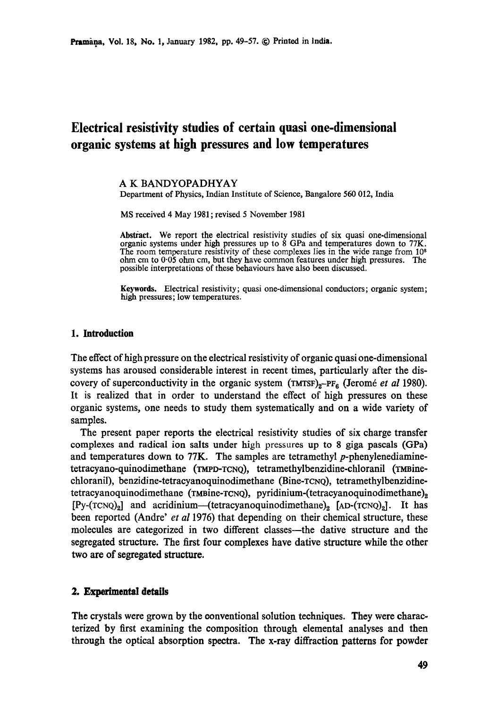# **Electrical resistivity studies of certain quasi one-dimensional organic systems at high pressures and low temperatures**

#### **A K BANDYOPADHYAY**

Department of Physics, Indian Institute of Science, Bangalore 560 012, India

MS received 4 May 1981 ; revised 5 November 1981

Abstract. We report the electrical resistivity studies of six quasi one-dimensional organic systems under high pressures up to 8 GPa and temperatures down to 77K. The room temperature resistivity of these complexes lies in the wide range from 10<sup>8</sup> ohm cm to 0-05 ohm cm, but they have common features under high pressures. The possible interpretations of these behaviours have also been discussed.

**Keywords.** Electrical resistivity; quasi one-dimensional conductors; organic system; high pressures; low temperatures.

### **1. Introduction**

The effect of high pressure on the electrical resistivity of organic quasi one-dimensional systems has aroused considerable interest in recent times, particularly after the discovery of superconductivity in the organic system (TMTSF)<sub>z</sub>-PF<sub>6</sub> (Jeromé *et al* 1980). It is realized that in order to understand the effect of high pressures on these organic systems, one needs to study them systematically and on a wide variety of samples.

The present paper reports the electrical resistivity studies of six charge transfer complexes and radical ion salts under high pressures up to 8 giga pascals (GPa) and temperatures down to  $77K$ . The samples are tetramethyl p-phenylenediaminetetracyano-quinodimethane (TMPD-TCNQ), tetramethylbenzidine-chloranil (TMBinechloranil), benzidine-tetracyanoquinodimethane (Bine-TCNQ), tetramethylbenzidinetetracyanoquinodimethane ( $\tau$ MBine- $\tau$ CNQ), pyridinium-(tetracyanoquinodimethane)<sub>2</sub>  $[Py-(TCNQ)_2]$  and acridinium--(tetracyanoquinodimethane)<sub>2</sub> [AD-(TCNQ)<sub>2</sub>]. It has been reported (Andre' *et al* 1976) that depending on their chemical structure, these molecules are categorized in two different classes--the dative structure and the segregated structure. The first four complexes have dative structure while the other two are of segregated structure.

### **2. Experimental details**

The crystals were grown by the conventional solution techniques. They were characterized by first examining the composition through elemental analyses and then through the optical absorption spectra. The x-ray diffraction patterns for powder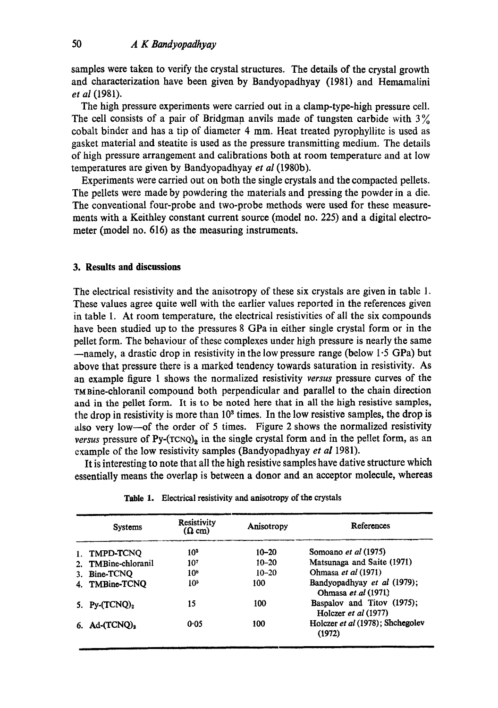samples were taken to verify the crystal structures. The details of the crystal growth and characterization have been given by Bandyopadhyay (1981) and Hemamalini *et al* (1981).

The high pressure experiments were carried out in a clamp-type-high pressure cell. The cell consists of a pair of Bridgman anvils made of tungsten carbide with  $3\%$ cobalt binder and has a tip of diameter 4 mm. Heat treated pyrophyllite is used as gasket material and steatite is used as the pressure transmitting medium. The details of high pressure arrangement and calibrations both at room temperature and at low temperatures are given by Bandyopadhyay *et al* (1980b).

Experiments were carried out on both the single crystals and the compacted pellets. The pellets were made by powdering the materials and pressing the powder in a die. The conventional four-probe and two-probe methods were used for these measurements with a Keithley constant current source (model no. 225) and a digital electrometer (model no. 616) as the measuring instruments.

#### **3. Results and discussions**

The electrical resistivity and the anisotropy of these six crystals are given in table 1. These values agree quite well with the earlier values reported in the references given in table 1. At room temperature, the electrical resistivities of all the six compounds have been studied up to the pressures 8 GPa in either single crystal form or in the pellet form. The behaviour of these complexes under high pressure is nearly the same  $-$ namely, a drastic drop in resistivity in the low pressure range (below 1.5 GPa) but above that pressure there is a marked tendency towards saturation in resistivity. As an example figure 1 shows the normalized resistivity *versus* pressure curves of the TMBine-chloranil compound both perpendicular and parallel to the chain direction and in the pellet form. It is to be noted here that in all the high resistive samples, the drop in resistivity is more than  $10<sup>3</sup>$  times. In the low resistive samples, the drop is also very low-of the order of 5 times. Figure 2 shows the normalized resistivity *versus* pressure of  $Py-(TCNQ)_2$  in the single crystal form and in the pellet form, as an example of the low resistivity samples (Bandyopadhyay *et al* 1981).

It is interesting to note that all the high resistive samples have dative structure **which**  essentially means the overlap is between a donor and an acceptor molecule, whereas

| <b>Systems</b>               | Resistivity<br>$(\Omega$ cm) | Anisotropy | References                                         |
|------------------------------|------------------------------|------------|----------------------------------------------------|
| 1. TMPD-TCNQ                 | 10 <sup>3</sup>              | $10 - 20$  | Somoano et al (1975)                               |
| 2. TMBine-chloranil          | 10 <sup>7</sup>              | $10 - 20$  | Matsunaga and Saite (1971)                         |
| 3. Bine-TCNQ                 | 10 <sup>8</sup>              | $10 - 20$  | Ohmasa et al (1971)                                |
| 4. TMBine-TCNQ               | 105                          | 100        | Bandyopadhyay et al (1979);<br>Ohmasa et al (1971) |
| 5. Py- $(TCNQ)_2$            | 15                           | 100        | Baspalov and Titov (1975);<br>Holczer et al (1977) |
| 6. Ad- $(TCNQ)$ <sub>2</sub> | 0.05                         | 100        | Holczer et al (1978); Shchegolev<br>(1972)         |

**Table** 1. Electrical resistivity and anisotropy of the crystals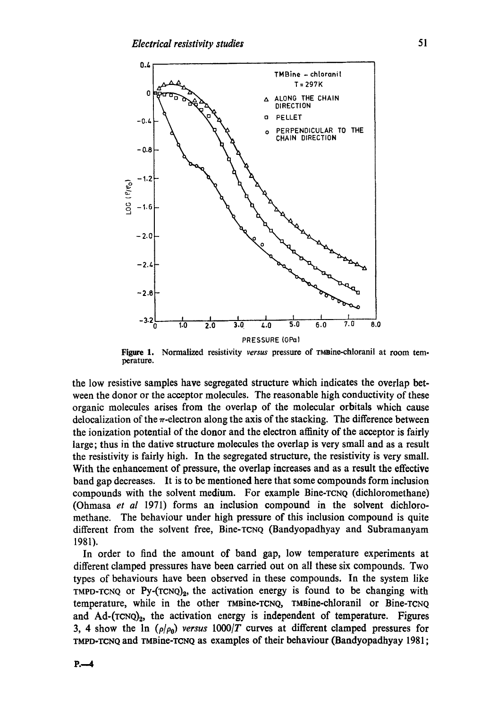

**Figure 1.**  perature. Normalized resistivity versus pressure of rmaine-chloranil at room tem-

the low resistive samples have segregated structure which indicates the overlap between the donor or the acceptor molecules. The reasonable high conductivity of these organic molecules arises from the overlap of the molecular orbitals which cause delocalization of the  $\pi$ -electron along the axis of the stacking. The difference between the ionization potential of the donor and the electron affinity of the accepter is fairly large; thus in the dative structure molecules the overlap is very small and as a result the resistivity is fairly high. In the segregated structure, the resistivity is very small. With the enhancement of pressure, the overlap increases and as a result the effective band gap decreases. It is to be mentioned here that some compounds form inclusion compounds with the solvent medium. For example Bine-TCNQ (dichloromethane) (Ohmasa *et al* 1971) forms an inclusion compound in the solvent diehloromethane. The behaviour under high pressure of this inclusion compound is quite different from the solvent free, Bine-TCNQ (Bandyopadhyay and Subramanyam 1981).

In order to find the amount of band gap, low temperature experiments at different damped pressures have been carried out on all these six compounds. Two types of behaviours have been observed in these compounds. In the system like TMPD-TCNQ or  $Py$ - $(TCNQ)_2$ , the activation energy is found to be changing with temperature, while in the other TMBine-TCNQ, TMBine-chloranil or Bine-TCNQ and Ad-(TCNQ)<sub>2</sub>, the activation energy is independent of temperature. Figures 3, 4 show the  $\ln$  ( $\rho/\rho_0$ ) *versus* 1000/T curves at different clamped pressures for TMPD-TCNQ and TMBine-TCNQ as examples of their behaviour (Bandyopadhyay 1981;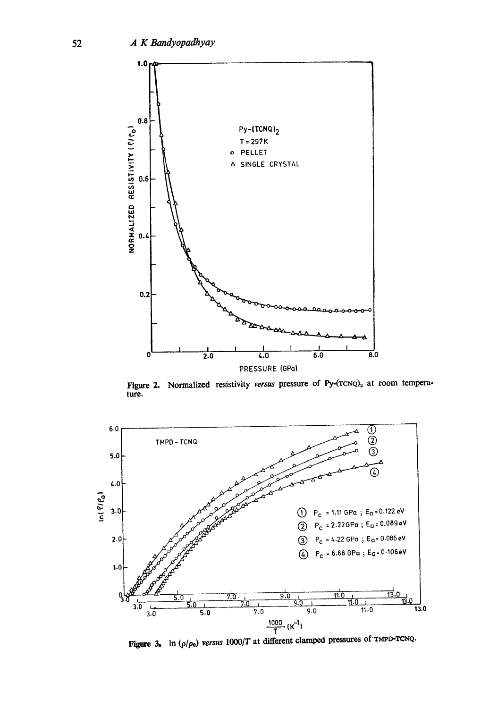

Figure 2. Normalized resistivity *versus* pressure of Py-(TCNQ)<sub>2</sub> at room tempera**ture.** 



**Figure 3.** In  $(\rho/\rho_0)$  *versus*  $1000/T$  at different clamped pressures of TMPD-TCNQ.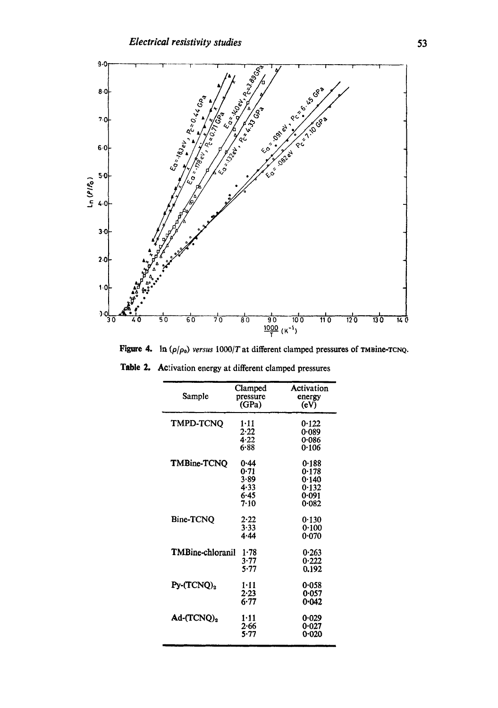

**Figure 4.** In  $(\rho/\rho_0)$  versus  $1000/T$  at different clamped pressures of TMBine-TCNQ.

| Sample                       | Clamped<br>pressure<br>(GPa)                 | Activation<br>energy<br>(eV)                       |
|------------------------------|----------------------------------------------|----------------------------------------------------|
| <b>TMPD-TCNO</b>             | $1 - 11$<br>2.22<br>4.22<br>6.88             | 0.122<br>0.089<br>0-086<br>0.106                   |
| TMBine-TCNO                  | 0.44<br>0.71<br>3.89<br>4.33<br>6.45<br>7.10 | 0.188<br>0.178<br>0.140<br>0.132<br>0.091<br>0.082 |
| <b>Bine-TCNQ</b>             | 2.22<br>3.33<br>4.44                         | 0.130<br>0.100<br>0.070                            |
| TMBine-chloranil             | 1.78<br>3.77<br>5.77                         | 0.263<br>0.222<br>0.192                            |
| $Py$ - $(TCNO)$ <sub>2</sub> | $1 - 11$<br>2.23<br>6.77                     | 0.058<br>0.057<br>0.042                            |
| Ad-(TCNQ) <sub>2</sub>       | $1 - 11$<br>$2 - 66$<br>5.77                 | 0.029<br>0.027<br>0-020                            |

**Table 2.**  Activation energy at different clamped pressures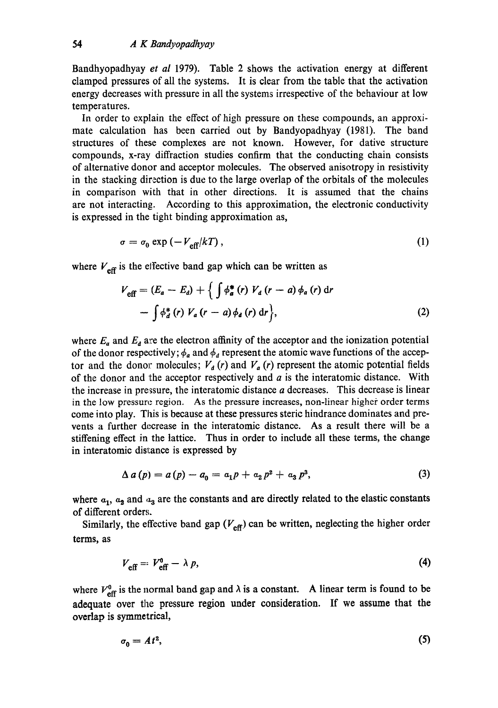Bandhyopadhyay *et al* 1979). Table 2 shows the activation energy at different clamped pressures of all the systems. It is clear from the table that the activation energy decreases with pressure in all the systems irrespective of the behaviour at low temperatures.

In order to explain the effect of high pressure on these compounds, an approximate calculation has been carried out by Bandyopadhyay (1981). The band structures of these complexes are not known. However, for dative structure compounds, x-ray diffraction studies confirm that the conducting chain consists of alternative donor and accepter molecules. The observed anisotropy in resistivity in the stacking direction is due to the large overlap of the orbitals of the molecules in comparison with that in other directions. It is assumed that the chains are not interacting. According to this approximation, the electronic conductivity is expressed in the tight binding approximation as,

$$
\sigma = \sigma_0 \exp\left(-V_{\text{eff}}/kT\right),\tag{1}
$$

where  $V_{\text{eff}}$  is the effective band gap which can be written as

$$
V_{\text{eff}} = (E_a - E_d) + \left\{ \int \phi_a^* (r) V_a (r - a) \phi_a (r) dr - \int \phi_a^* (r) V_a (r - a) \phi_a (r) dr \right\},
$$
 (2)

where  $E_a$  and  $E_a$  are the electron affinity of the acceptor and the ionization potential of the donor respectively;  $\phi_a$  and  $\phi_d$  represent the atomic wave functions of the acceptor and the donor molecules;  $V_a(r)$  and  $V_a(r)$  represent the atomic potential fields of the donor and the acceptor respectively and  $a$  is the interatomic distance. With the increase in pressure, the interatomic distance a decreases. This decrease is linear in the low pressure region. As the pressure increases, non-linear higher order terms come into play. This is because at these pressures sterie hindrance dominates and prevents a further decrease in the interatomic distance. As a result there will be a stiffening effect in the lattice. Thus in order to include all these terms, the change in interatomic distance is expressed by

$$
\Delta a(p) = a(p) - a_0 = a_1 p + a_2 p^2 + a_3 p^3, \tag{3}
$$

where  $a_1$ ,  $a_2$  and  $a_3$  are the constants and are directly related to the elastic constants of different orders.

Similarly, the effective band gap  $(V_{\text{eff}})$  can be written, neglecting the higher order terms, as

$$
V_{\text{eff}} = V_{\text{eff}}^0 - \lambda p, \tag{4}
$$

where  $V_{\text{eff}}^0$  is the normal band gap and  $\lambda$  is a constant. A linear term is found to be adequate over the pressure region under consideration. If we assume that the overlap is symmetrical,

$$
\sigma_0 = At^2,\tag{5}
$$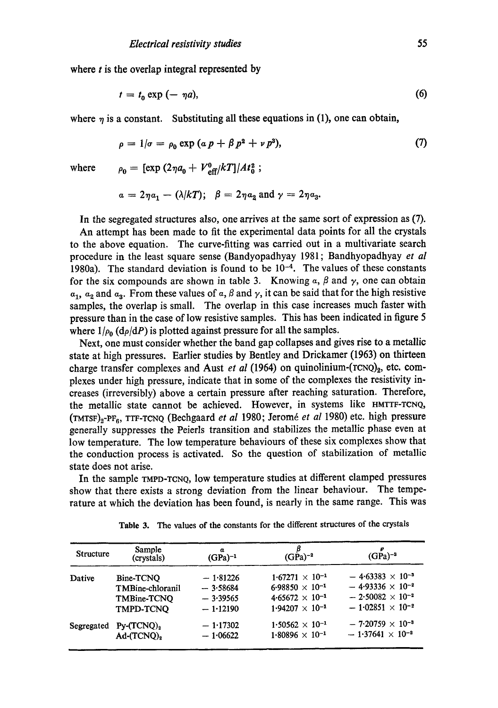where  $t$  is the overlap integral represented by

$$
t = t_0 \exp(-\eta a), \tag{6}
$$

where  $\eta$  is a constant. Substituting all these equations in (1), one can obtain,

$$
\rho = 1/\sigma = \rho_0 \exp \left( \alpha \, p + \beta \, p^2 + \nu \, p^3 \right),\tag{7}
$$

where 
$$
\rho_0 = [\exp (2\eta a_0 + V_{\text{eff}}^0/kT)]/At_0^2;
$$

$$
\alpha = 2\eta a_1 - (\lambda/kT); \quad \beta = 2\eta a_2 \text{ and } \gamma = 2\eta a_3.
$$

In the segregated structures also, one arrives at the same sort of expression as (7).

An attempt has been made to fit the experimental data points for all the crystals to the above equation. The curve-fitting was carried out in a multivariate search procedure in the least square sense (Bandyopadhyay 1981; Bandhyopadhyay *et al*  1980a). The standard deviation is found to be  $10^{-4}$ . The values of these constants for the six compounds are shown in table 3. Knowing  $\alpha$ ,  $\beta$  and  $\gamma$ , one can obtain  $a_1$ ,  $a_2$  and  $a_3$ . From these values of a,  $\beta$  and  $\gamma$ , it can be said that for the high resistive samples, the overlap is small. The overlap in this case increases much faster with pressure than in the case of low resistive samples. This has been indicated in figure 5 where  $1/\rho_0$  (d $\rho/dP$ ) is plotted against pressure for all the samples.

Next, one must consider whether the band gap collapses and gives rise to a metallic state at high pressures. Earlier studies by Bentley and Drickamer (1963) on thirteen charge transfer complexes and Aust *et al* (1964) on quinolinium- $(\text{rcNQ})_2$ , etc. complexes under high pressure, indicate that in some of the complexes the resistivity increases (irreversibly) above a certain pressure after reaching saturation. Therefore, the metallic state cannot be achieved. However, in systems like HMTTF-TCNQ, (TMTSF)<sub>2</sub>-PF<sub>6</sub>, TTF-TCNQ (Bechgaard *et al* 1980; Jeromé *et al* 1980) etc. high pressure generally suppresses the Peierls transition and stabilizes the metallic phase even at low temperature. The low temperature behaviours of these six complexes show that the conduction process is activated. So the question of stabilization of metallic state does not arise.

In the sample TMPD-TCNQ, lOW temperature studies at different damped pressures show that there exists a strong deviation from the linear behaviour. The temperature at which the deviation has been found, is nearly in the same range. This was

| Sample<br>(crystals) | a<br>$(GPa)^{-1}$                                                                | β<br>$(GPa)^{-2}$        | $(GPa)^{-3}$                                         |
|----------------------|----------------------------------------------------------------------------------|--------------------------|------------------------------------------------------|
|                      |                                                                                  | $1.67271 \times 10^{-1}$ | $-4.63383 \times 10^{-3}$                            |
|                      | $-3.58684$                                                                       |                          | $-4.93336 \times 10^{-2}$                            |
|                      | $-3.39565$                                                                       |                          | $-2.50082 \times 10^{-2}$                            |
| <b>TMPD-TCNO</b>     | $-1.12190$                                                                       | $1.94207 \times 10^{-1}$ | $-1.02851 \times 10^{-2}$                            |
|                      | $-1.17302$                                                                       | $1.50562 \times 10^{-1}$ | $-7.20759 \times 10^{-3}$                            |
| $Ad-(TCNQ)2$         | $-1.06622$                                                                       | $1.80896 \times 10^{-1}$ | $-1.37641 \times 10^{-2}$                            |
|                      | Bine-TCNO<br><b>TMBine-chloranil</b><br>TMBine-TCNO<br>Segregated Py- $(TCNQ)_2$ | $-1.81226$               | $6.98850 \times 10^{-1}$<br>$4.65672 \times 10^{-1}$ |

**Table** 3. The values of the constants for the different structures of the crystals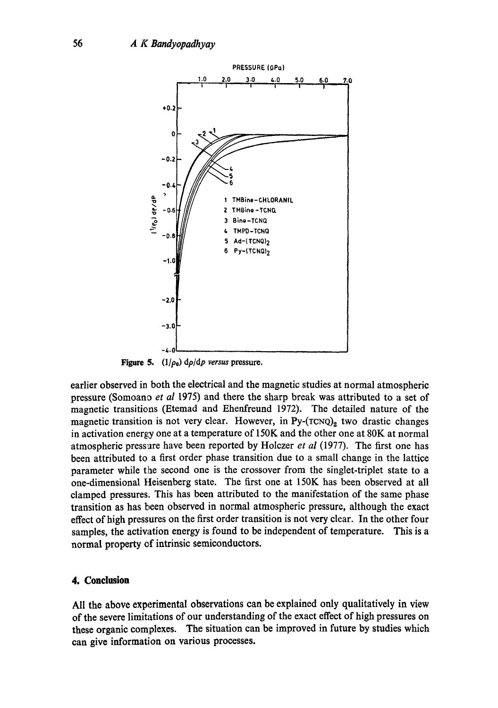

**Figure 5.**  $(1/\rho_0)$   $d\rho/dp$  versus pressure.

earlier observed in both the electrical and the magnetic studies at normal atmospheric pressure (Somoano *et al* 1975) and there the sharp break was attributed to a set of magnetic transitions (Etemad and Ehenfreund 1972). The detailed nature of the magnetic transition is not very clear. However, in  $Py-(TCNQ)$ <sub>2</sub> two drastic changes in activation energy one at a temperature of  $150K$  and the other one at  $80K$  at normal atmospheric pressure have been reported by Holczer *et al* (1977). The first one has been attributed to a first order phase transition due to a small change in the lattice parameter while the second one is the crossover from the singlet-triplet state to a one-dimensional Heisenberg state. The first one at 150K has been observed at all clamped pressures. This has been attributed to the manifestation of the same phase transition as has been observed in normal atmospheric pressure, although the exact effect of high pressures on the first order transition is not very clear. In the other four samples, the activation energy is found to be independent of temperature. This is a normal property of intrinsic semiconductors.

### **4. Conclusion**

All the above experimental observations can be explained only qualitatively in view of the severe limitations of our understanding of the exact effect of high pressures on these organic complexes. The situation can be improved in future by studies which can give information on various processes.